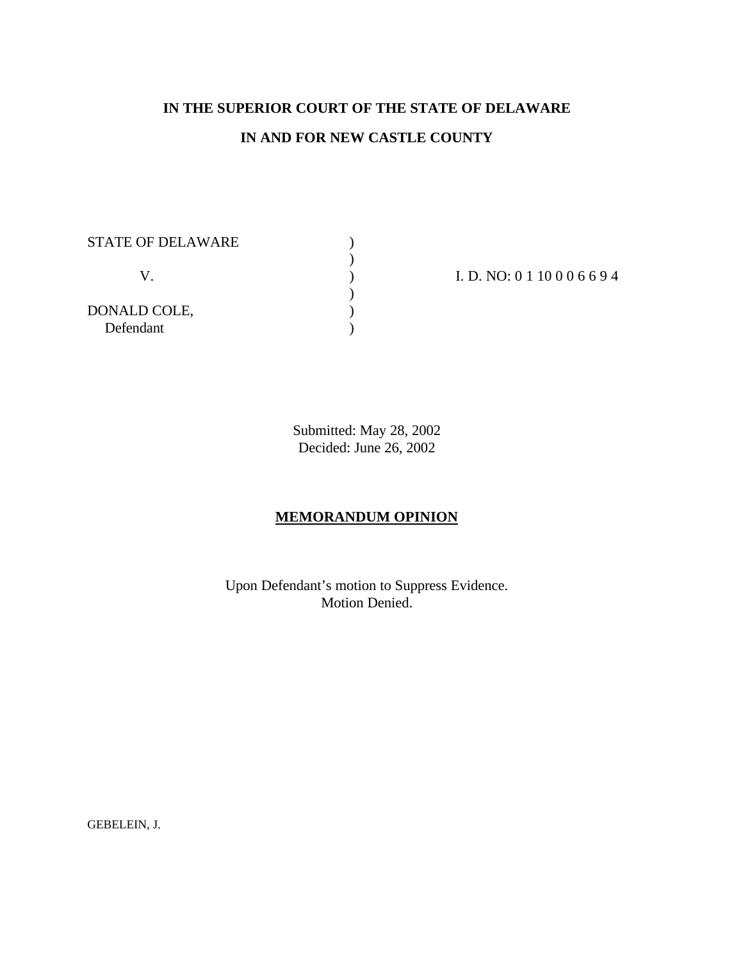# **IN THE SUPERIOR COURT OF THE STATE OF DELAWARE IN AND FOR NEW CASTLE COUNTY**

)<br>)

)  $)$ 

STATE OF DELAWARE  $\hskip 2cm \mbox{)}$ 

DONALD COLE, ) Defendant )

V. (a)  $I.D. NO: 0 1 10 0 0 6 6 9 4$ 

Submitted: May 28, 2002 Decided: June 26, 2002

## **MEMORANDUM OPINION**

Upon Defendant's motion to Suppress Evidence. Motion Denied.

GEBELEIN, J.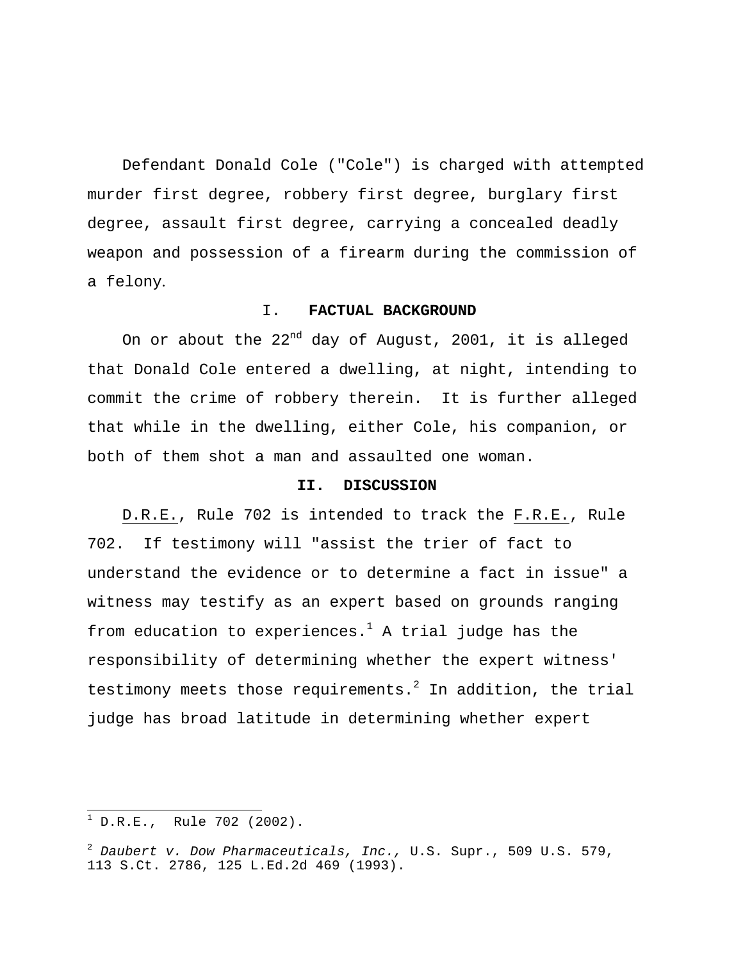Defendant Donald Cole ("Cole") is charged with attempted murder first degree, robbery first degree, burglary first degree, assault first degree, carrying a concealed deadly weapon and possession of a firearm during the commission of a felony.

#### I. **FACTUAL BACKGROUND**

On or about the  $22^{nd}$  day of August, 2001, it is alleged that Donald Cole entered a dwelling, at night, intending to commit the crime of robbery therein. It is further alleged that while in the dwelling, either Cole, his companion, or both of them shot a man and assaulted one woman.

### **II. DISCUSSION**

D.R.E., Rule 702 is intended to track the F.R.E., Rule 702. If testimony will "assist the trier of fact to understand the evidence or to determine a fact in issue" a witness may testify as an expert based on grounds ranging from education to experiences.<sup>1</sup> A trial judge has the responsibility of determining whether the expert witness' testimony meets those requirements. $^2$  In addition, the trial judge has broad latitude in determining whether expert

 $\overline{a}$ 

 $1$  D.R.E., Rule 702 (2002).

<sup>2</sup> *Daubert v. Dow Pharmaceuticals, Inc.,* U.S. Supr., 509 U.S. 579, 113 S.Ct. 2786, 125 L.Ed.2d 469 (1993).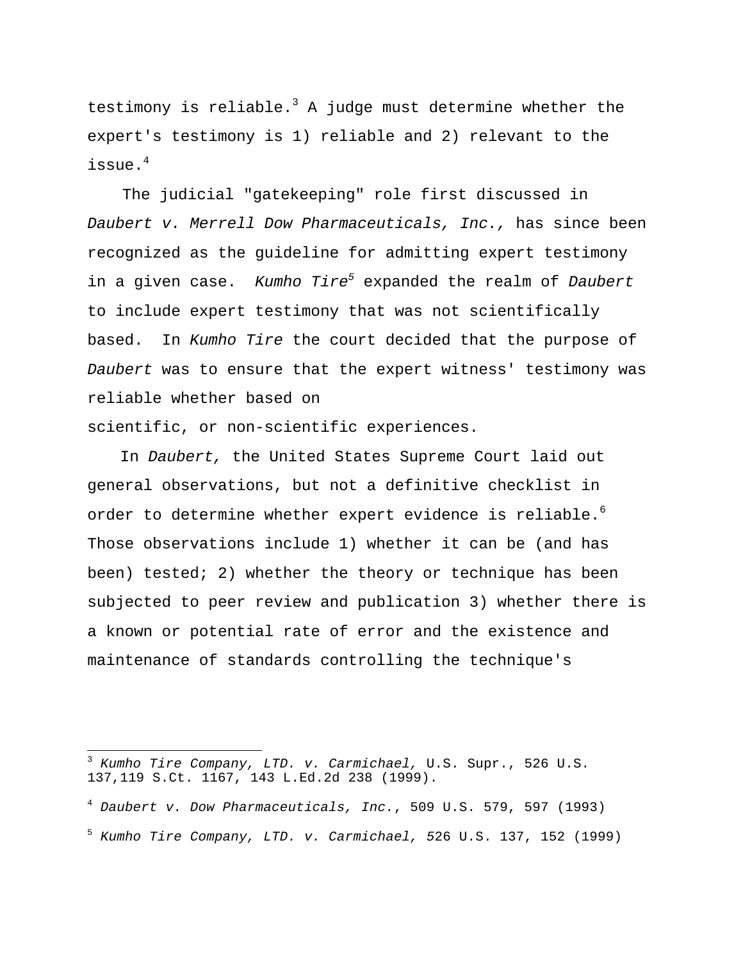testimony is reliable.<sup>3</sup> A judge must determine whether the expert's testimony is 1) reliable and 2) relevant to the issue.<sup>4</sup>

The judicial "gatekeeping" role first discussed in *Daubert v. Merrell Dow Pharmaceuticals, Inc.,* has since been recognized as the guideline for admitting expert testimony in a given case. *Kumho Tire<sup>5</sup>* expanded the realm of *Daubert*  to include expert testimony that was not scientifically based. In *Kumho Tire* the court decided that the purpose of *Daubert* was to ensure that the expert witness' testimony was reliable whether based on

scientific, or non-scientific experiences.

In *Daubert,* the United States Supreme Court laid out general observations, but not a definitive checklist in order to determine whether expert evidence is reliable.<sup>6</sup> Those observations include 1) whether it can be (and has been) tested; 2) whether the theory or technique has been subjected to peer review and publication 3) whether there is a known or potential rate of error and the existence and maintenance of standards controlling the technique's

 $\overline{a}$ 

<sup>3</sup> *Kumho Tire Company, LTD. v. Carmichael,* U.S. Supr., 526 U.S. 137,119 S.Ct. 1167, 143 L.Ed.2d 238 (1999).

<sup>4</sup> *Daubert v. Dow Pharmaceuticals, Inc.*, 509 U.S. 579, 597 (1993)

<sup>5</sup> *Kumho Tire Company, LTD. v. Carmichael, 5*26 U.S. 137, 152 (1999)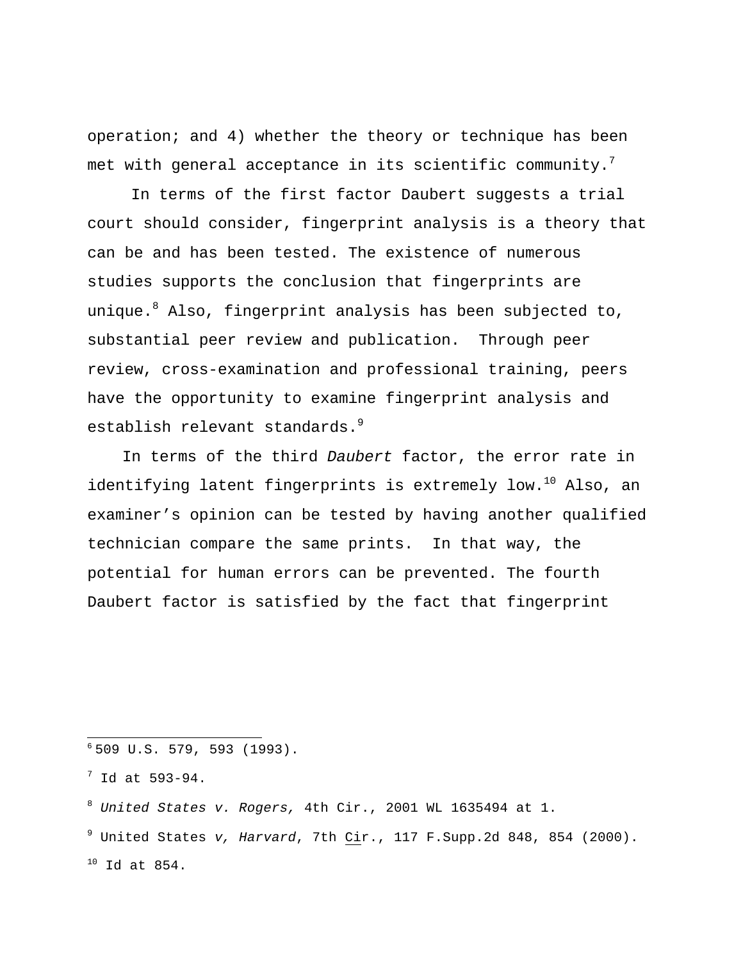operation; and 4) whether the theory or technique has been met with general acceptance in its scientific community.<sup>7</sup>

In terms of the first factor Daubert suggests a trial court should consider, fingerprint analysis is a theory that can be and has been tested. The existence of numerous studies supports the conclusion that fingerprints are unique.<sup>8</sup> Also, fingerprint analysis has been subjected to, substantial peer review and publication. Through peer review, cross-examination and professional training, peers have the opportunity to examine fingerprint analysis and establish relevant standards.<sup>9</sup>

In terms of the third *Daubert* factor, the error rate in identifying latent fingerprints is extremely low.<sup>10</sup> Also, an examiner's opinion can be tested by having another qualified technician compare the same prints. In that way, the potential for human errors can be prevented. The fourth Daubert factor is satisfied by the fact that fingerprint

<sup>9</sup> United States *v, Harvard*, 7th Cir., 117 F.Supp.2d 848, 854 (2000).  $10$  Id at 854.

<sup>-</sup><sup>6</sup> 509 U.S. 579, 593 (1993).

 $7$  Id at 593-94.

<sup>8</sup> *United States v. Rogers,* 4th Cir., 2001 WL 1635494 at 1.